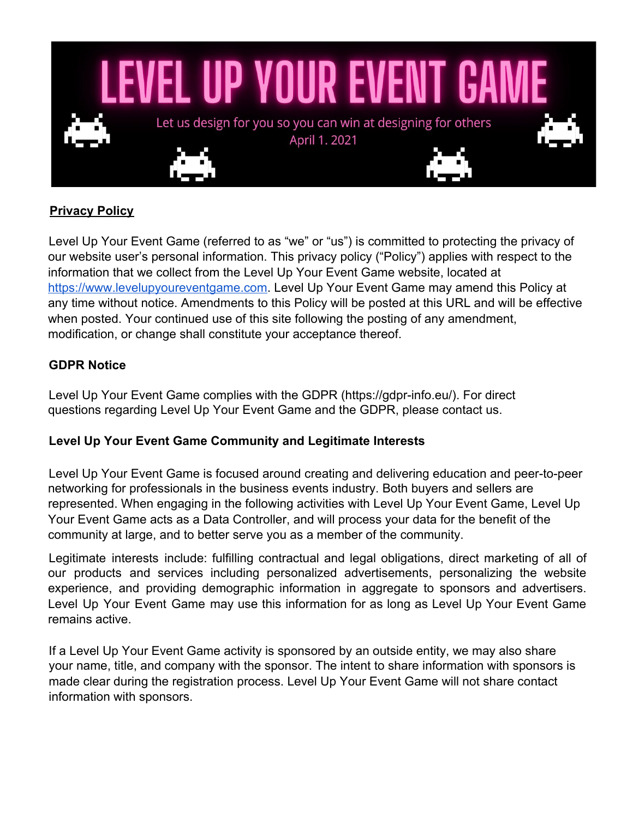

# **Privacy Policy**

Level Up Your Event Game (referred to as "we" or "us") is committed to protecting the privacy of our website user's personal information. This privacy policy ("Policy") applies with respect to the information that we collect from the Level Up Your Event Game website, located at [https://www.levelupyoureventgame.com.](https://www.levelupyoureventgame.com/) Level Up Your Event Game may amend this Policy at any time without notice. Amendments to this Policy will be posted at this URL and will be effective when posted. Your continued use of this site following the posting of any amendment, modification, or change shall constitute your acceptance thereof.

### **GDPR Notice**

Level Up Your Event Game complies with the GDPR (https://gdpr-info.eu/). For direct questions regarding Level Up Your Event Game and the GDPR, please contact us.

#### **Level Up Your Event Game Community and Legitimate Interests**

Level Up Your Event Game is focused around creating and delivering education and peer-to-peer networking for professionals in the business events industry. Both buyers and sellers are represented. When engaging in the following activities with Level Up Your Event Game, Level Up Your Event Game acts as a Data Controller, and will process your data for the benefit of the community at large, and to better serve you as a member of the community.

Legitimate interests include: fulfilling contractual and legal obligations, direct marketing of all of our products and services including personalized advertisements, personalizing the website experience, and providing demographic information in aggregate to sponsors and advertisers. Level Up Your Event Game may use this information for as long as Level Up Your Event Game remains active.

If a Level Up Your Event Game activity is sponsored by an outside entity, we may also share your name, title, and company with the sponsor. The intent to share information with sponsors is made clear during the registration process. Level Up Your Event Game will not share contact information with sponsors.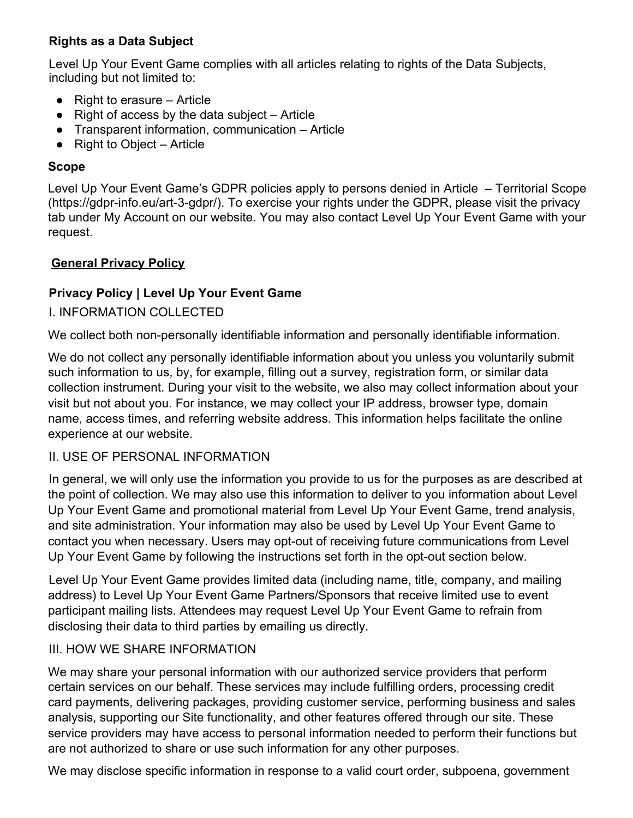## **Rights as a Data Subject**

Level Up Your Event Game complies with all articles relating to rights of the Data Subjects, including but not limited to:

- $\bullet$  Right to erasure Article
- $\bullet$  Right of access by the data subject Article
- Transparent information, communication Article
- Right to Object Article

### **Scope**

Level Up Your Event Game's GDPR policies apply to persons denied in Article – Territorial Scope (https://gdpr-info.eu/art-3-gdpr/). To exercise your rights under the GDPR, please visit the privacy tab under My Account on our website. You may also contact Level Up Your Event Game with your request.

### **General Privacy Policy**

### **Privacy Policy | Level Up Your Event Game**

### I. INFORMATION COLLECTED

We collect both non-personally identifiable information and personally identifiable information.

We do not collect any personally identifiable information about you unless you voluntarily submit such information to us, by, for example, filling out a survey, registration form, or similar data collection instrument. During your visit to the website, we also may collect information about your visit but not about you. For instance, we may collect your IP address, browser type, domain name, access times, and referring website address. This information helps facilitate the online experience at our website.

#### II. USE OF PERSONAL INFORMATION

In general, we will only use the information you provide to us for the purposes as are described at the point of collection. We may also use this information to deliver to you information about Level Up Your Event Game and promotional material from Level Up Your Event Game, trend analysis, and site administration. Your information may also be used by Level Up Your Event Game to contact you when necessary. Users may opt-out of receiving future communications from Level Up Your Event Game by following the instructions set forth in the opt-out section below.

Level Up Your Event Game provides limited data (including name, title, company, and mailing address) to Level Up Your Event Game Partners/Sponsors that receive limited use to event participant mailing lists. Attendees may request Level Up Your Event Game to refrain from disclosing their data to third parties by emailing us directly.

#### III. HOW WE SHARE INFORMATION

We may share your personal information with our authorized service providers that perform certain services on our behalf. These services may include fulfilling orders, processing credit card payments, delivering packages, providing customer service, performing business and sales analysis, supporting our Site functionality, and other features offered through our site. These service providers may have access to personal information needed to perform their functions but are not authorized to share or use such information for any other purposes.

We may disclose specific information in response to a valid court order, subpoena, government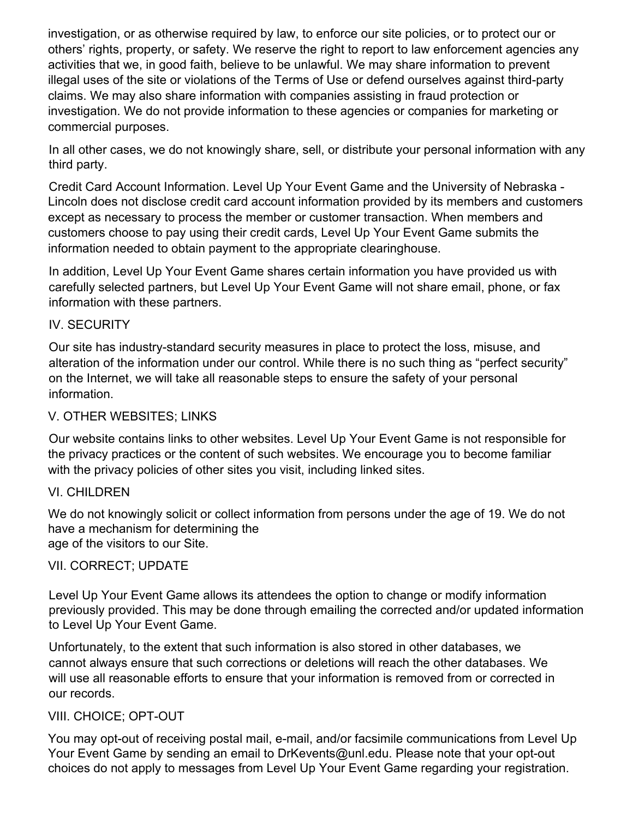investigation, or as otherwise required by law, to enforce our site policies, or to protect our or others' rights, property, or safety. We reserve the right to report to law enforcement agencies any activities that we, in good faith, believe to be unlawful. We may share information to prevent illegal uses of the site or violations of the Terms of Use or defend ourselves against third-party claims. We may also share information with companies assisting in fraud protection or investigation. We do not provide information to these agencies or companies for marketing or commercial purposes.

In all other cases, we do not knowingly share, sell, or distribute your personal information with any third party.

Credit Card Account Information. Level Up Your Event Game and the University of Nebraska - Lincoln does not disclose credit card account information provided by its members and customers except as necessary to process the member or customer transaction. When members and customers choose to pay using their credit cards, Level Up Your Event Game submits the information needed to obtain payment to the appropriate clearinghouse.

In addition, Level Up Your Event Game shares certain information you have provided us with carefully selected partners, but Level Up Your Event Game will not share email, phone, or fax information with these partners.

#### IV. SECURITY

Our site has industry-standard security measures in place to protect the loss, misuse, and alteration of the information under our control. While there is no such thing as "perfect security" on the Internet, we will take all reasonable steps to ensure the safety of your personal information.

#### V. OTHER WEBSITES; LINKS

Our website contains links to other websites. Level Up Your Event Game is not responsible for the privacy practices or the content of such websites. We encourage you to become familiar with the privacy policies of other sites you visit, including linked sites.

#### VI. CHILDREN

We do not knowingly solicit or collect information from persons under the age of 19. We do not have a mechanism for determining the age of the visitors to our Site.

#### VII. CORRECT; UPDATE

Level Up Your Event Game allows its attendees the option to change or modify information previously provided. This may be done through emailing the corrected and/or updated information to Level Up Your Event Game.

Unfortunately, to the extent that such information is also stored in other databases, we cannot always ensure that such corrections or deletions will reach the other databases. We will use all reasonable efforts to ensure that your information is removed from or corrected in our records.

#### VIII. CHOICE; OPT-OUT

You may opt-out of receiving postal mail, e-mail, and/or facsimile communications from Level Up Your Event Game by sending an email to DrKevents@unl.edu. Please note that your opt-out choices do not apply to messages from Level Up Your Event Game regarding your registration.